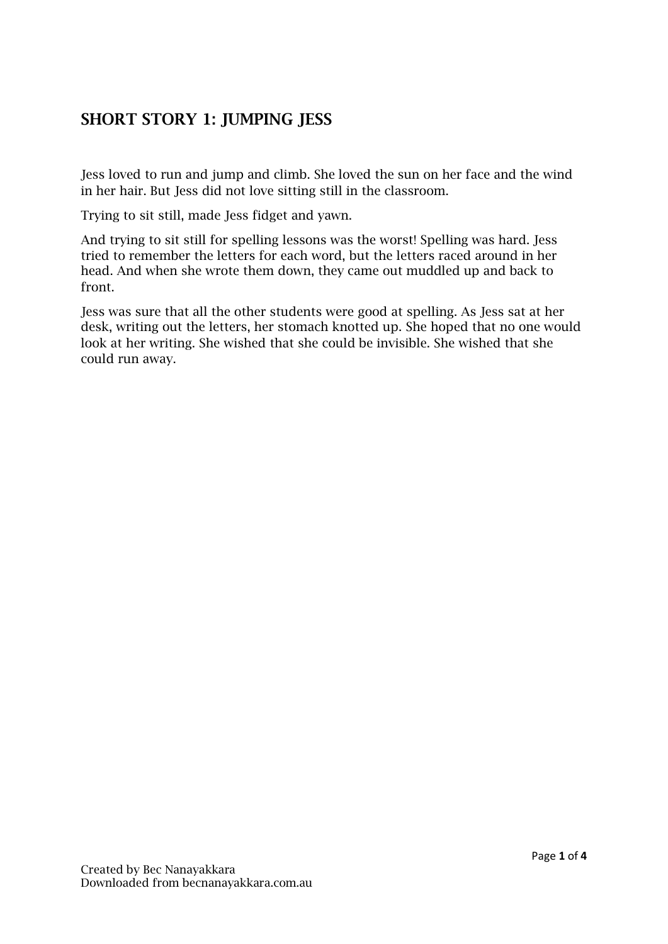## SHORT STORY 1: JUMPING JESS

Jess loved to run and jump and climb. She loved the sun on her face and the wind in her hair. But Jess did not love sitting still in the classroom.

Trying to sit still, made Jess fidget and yawn.

And trying to sit still for spelling lessons was the worst! Spelling was hard. Jess tried to remember the letters for each word, but the letters raced around in her head. And when she wrote them down, they came out muddled up and back to front.

Jess was sure that all the other students were good at spelling. As Jess sat at her desk, writing out the letters, her stomach knotted up. She hoped that no one would look at her writing. She wished that she could be invisible. She wished that she could run away.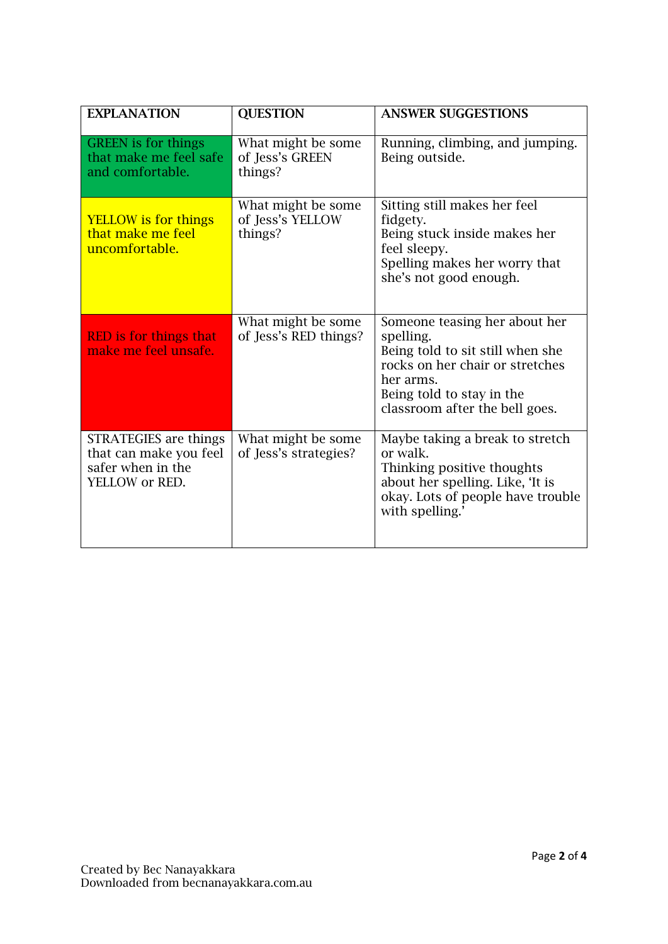| <b>EXPLANATION</b>                                                                     | <b>QUESTION</b>                                   | <b>ANSWER SUGGESTIONS</b>                                                                                                                                                                     |
|----------------------------------------------------------------------------------------|---------------------------------------------------|-----------------------------------------------------------------------------------------------------------------------------------------------------------------------------------------------|
| <b>GREEN</b> is for things<br>that make me feel safe<br>and comfortable.               | What might be some<br>of Jess's GREEN<br>things?  | Running, climbing, and jumping.<br>Being outside.                                                                                                                                             |
| <b>YELLOW</b> is for things<br>that make me feel<br>uncomfortable.                     | What might be some<br>of Jess's YELLOW<br>things? | Sitting still makes her feel<br>fidgety.<br>Being stuck inside makes her<br>feel sleepy.<br>Spelling makes her worry that<br>she's not good enough.                                           |
| <b>RED</b> is for things that<br>make me feel unsafe.                                  | What might be some<br>of Jess's RED things?       | Someone teasing her about her<br>spelling.<br>Being told to sit still when she<br>rocks on her chair or stretches<br>her arms.<br>Being told to stay in the<br>classroom after the bell goes. |
| STRATEGIES are things<br>that can make you feel<br>safer when in the<br>YELLOW or RED. | What might be some<br>of Jess's strategies?       | Maybe taking a break to stretch<br>or walk.<br>Thinking positive thoughts<br>about her spelling. Like, 'It is<br>okay. Lots of people have trouble<br>with spelling.'                         |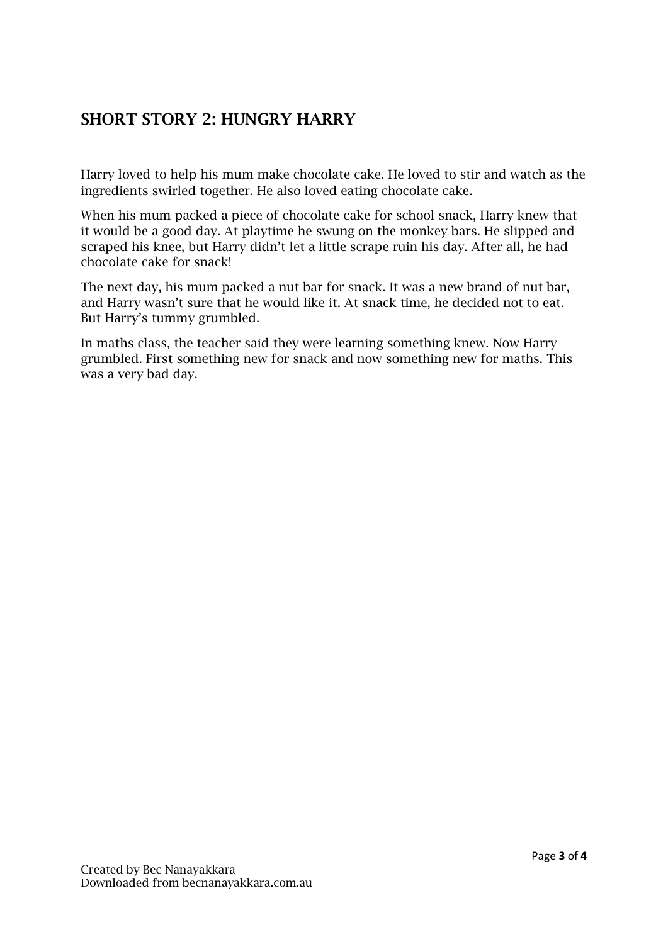## SHORT STORY 2: HUNGRY HARRY

Harry loved to help his mum make chocolate cake. He loved to stir and watch as the ingredients swirled together. He also loved eating chocolate cake.

When his mum packed a piece of chocolate cake for school snack, Harry knew that it would be a good day. At playtime he swung on the monkey bars. He slipped and scraped his knee, but Harry didn't let a little scrape ruin his day. After all, he had chocolate cake for snack!

The next day, his mum packed a nut bar for snack. It was a new brand of nut bar, and Harry wasn't sure that he would like it. At snack time, he decided not to eat. But Harry's tummy grumbled.

In maths class, the teacher said they were learning something knew. Now Harry grumbled. First something new for snack and now something new for maths. This was a very bad day.